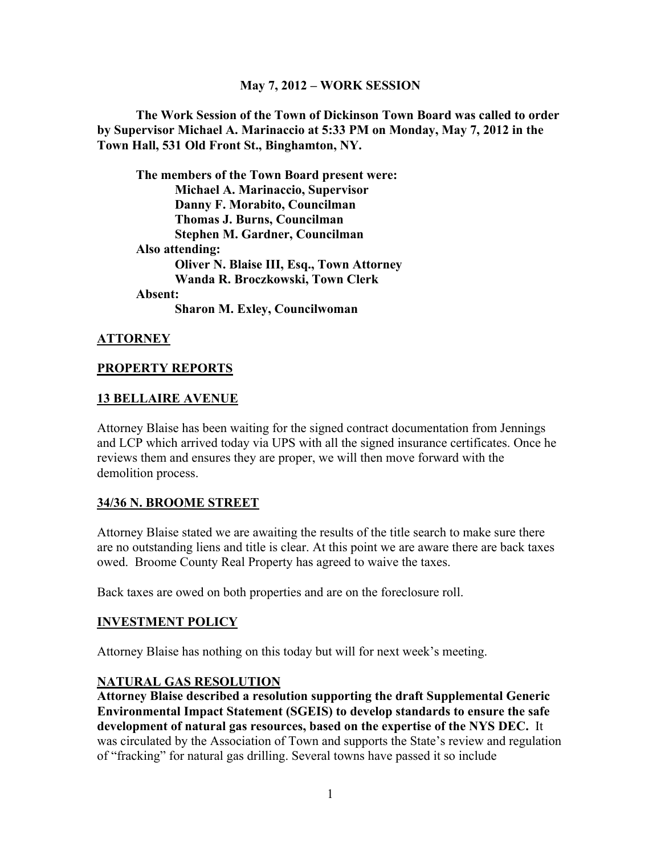## **May 7, 2012 – WORK SESSION**

**The Work Session of the Town of Dickinson Town Board was called to order by Supervisor Michael A. Marinaccio at 5:33 PM on Monday, May 7, 2012 in the Town Hall, 531 Old Front St., Binghamton, NY.**

**The members of the Town Board present were: Michael A. Marinaccio, Supervisor Danny F. Morabito, Councilman Thomas J. Burns, Councilman Stephen M. Gardner, Councilman Also attending: Oliver N. Blaise III, Esq., Town Attorney Wanda R. Broczkowski, Town Clerk**

**Absent:** 

**Sharon M. Exley, Councilwoman**

## **ATTORNEY**

### **PROPERTY REPORTS**

### **13 BELLAIRE AVENUE**

Attorney Blaise has been waiting for the signed contract documentation from Jennings and LCP which arrived today via UPS with all the signed insurance certificates. Once he reviews them and ensures they are proper, we will then move forward with the demolition process.

## **34/36 N. BROOME STREET**

Attorney Blaise stated we are awaiting the results of the title search to make sure there are no outstanding liens and title is clear. At this point we are aware there are back taxes owed. Broome County Real Property has agreed to waive the taxes.

Back taxes are owed on both properties and are on the foreclosure roll.

### **INVESTMENT POLICY**

Attorney Blaise has nothing on this today but will for next week's meeting.

### **NATURAL GAS RESOLUTION**

**Attorney Blaise described a resolution supporting the draft Supplemental Generic Environmental Impact Statement (SGEIS) to develop standards to ensure the safe development of natural gas resources, based on the expertise of the NYS DEC.** It was circulated by the Association of Town and supports the State's review and regulation of "fracking" for natural gas drilling. Several towns have passed it so include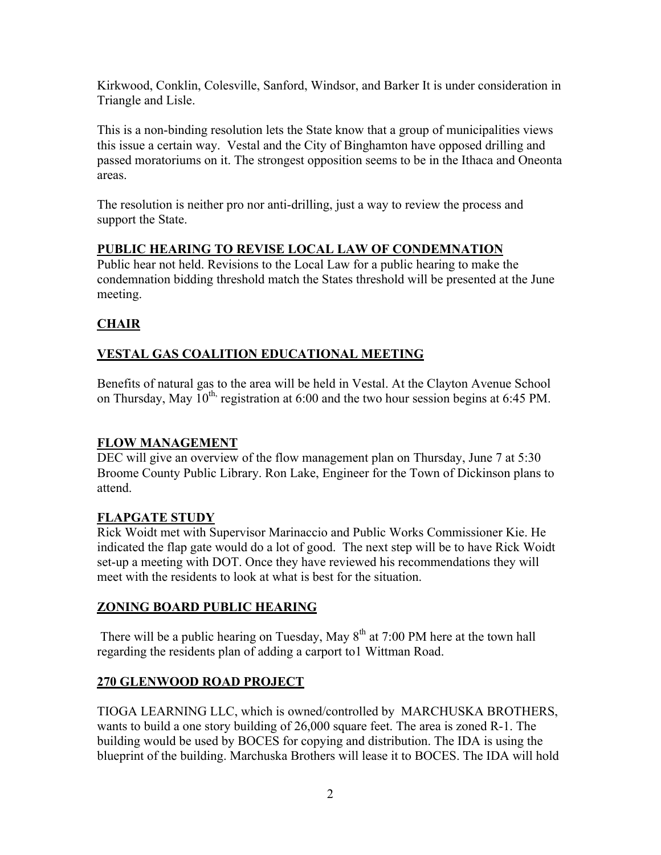Kirkwood, Conklin, Colesville, Sanford, Windsor, and Barker It is under consideration in Triangle and Lisle.

This is a non-binding resolution lets the State know that a group of municipalities views this issue a certain way. Vestal and the City of Binghamton have opposed drilling and passed moratoriums on it. The strongest opposition seems to be in the Ithaca and Oneonta areas.

The resolution is neither pro nor anti-drilling, just a way to review the process and support the State.

# **PUBLIC HEARING TO REVISE LOCAL LAW OF CONDEMNATION**

Public hear not held. Revisions to the Local Law for a public hearing to make the condemnation bidding threshold match the States threshold will be presented at the June meeting.

# **CHAIR**

# **VESTAL GAS COALITION EDUCATIONAL MEETING**

Benefits of natural gas to the area will be held in Vestal. At the Clayton Avenue School on Thursday, May  $10^{th}$ , registration at 6:00 and the two hour session begins at 6:45 PM.

# **FLOW MANAGEMENT**

DEC will give an overview of the flow management plan on Thursday, June 7 at 5:30 Broome County Public Library. Ron Lake, Engineer for the Town of Dickinson plans to attend.

# **FLAPGATE STUDY**

Rick Woidt met with Supervisor Marinaccio and Public Works Commissioner Kie. He indicated the flap gate would do a lot of good. The next step will be to have Rick Woidt set-up a meeting with DOT. Once they have reviewed his recommendations they will meet with the residents to look at what is best for the situation.

# **ZONING BOARD PUBLIC HEARING**

There will be a public hearing on Tuesday, May  $8<sup>th</sup>$  at 7:00 PM here at the town hall regarding the residents plan of adding a carport to1 Wittman Road.

# **270 GLENWOOD ROAD PROJECT**

TIOGA LEARNING LLC, which is owned/controlled by MARCHUSKA BROTHERS, wants to build a one story building of 26,000 square feet. The area is zoned R-1. The building would be used by BOCES for copying and distribution. The IDA is using the blueprint of the building. Marchuska Brothers will lease it to BOCES. The IDA will hold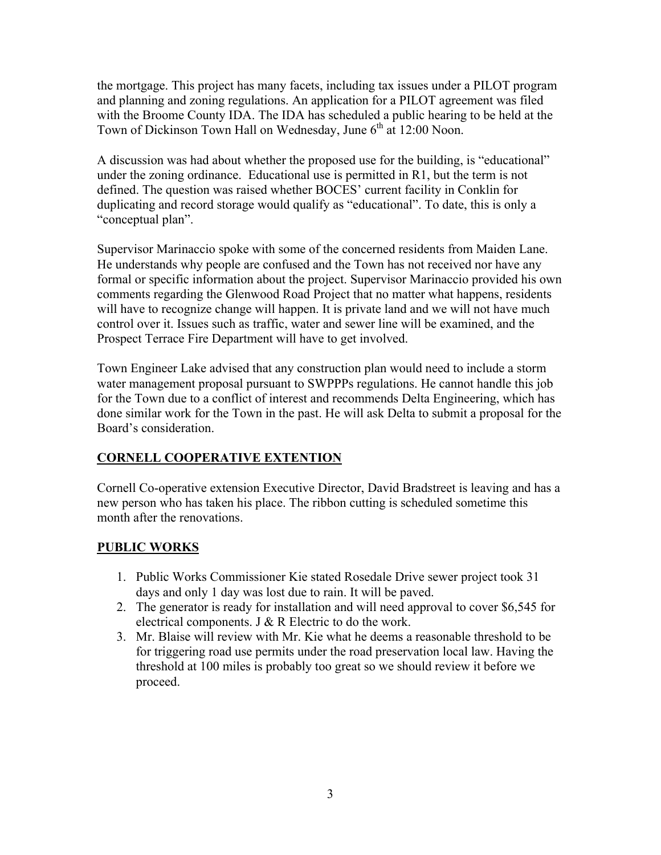the mortgage. This project has many facets, including tax issues under a PILOT program and planning and zoning regulations. An application for a PILOT agreement was filed with the Broome County IDA. The IDA has scheduled a public hearing to be held at the Town of Dickinson Town Hall on Wednesday, June  $6<sup>th</sup>$  at 12:00 Noon.

A discussion was had about whether the proposed use for the building, is "educational" under the zoning ordinance. Educational use is permitted in R1, but the term is not defined. The question was raised whether BOCES' current facility in Conklin for duplicating and record storage would qualify as "educational". To date, this is only a "conceptual plan".

Supervisor Marinaccio spoke with some of the concerned residents from Maiden Lane. He understands why people are confused and the Town has not received nor have any formal or specific information about the project. Supervisor Marinaccio provided his own comments regarding the Glenwood Road Project that no matter what happens, residents will have to recognize change will happen. It is private land and we will not have much control over it. Issues such as traffic, water and sewer line will be examined, and the Prospect Terrace Fire Department will have to get involved.

Town Engineer Lake advised that any construction plan would need to include a storm water management proposal pursuant to SWPPPs regulations. He cannot handle this job for the Town due to a conflict of interest and recommends Delta Engineering, which has done similar work for the Town in the past. He will ask Delta to submit a proposal for the Board's consideration.

# **CORNELL COOPERATIVE EXTENTION**

Cornell Co-operative extension Executive Director, David Bradstreet is leaving and has a new person who has taken his place. The ribbon cutting is scheduled sometime this month after the renovations.

# **PUBLIC WORKS**

- 1. Public Works Commissioner Kie stated Rosedale Drive sewer project took 31 days and only 1 day was lost due to rain. It will be paved.
- 2. The generator is ready for installation and will need approval to cover \$6,545 for electrical components. J & R Electric to do the work.
- 3. Mr. Blaise will review with Mr. Kie what he deems a reasonable threshold to be for triggering road use permits under the road preservation local law. Having the threshold at 100 miles is probably too great so we should review it before we proceed.